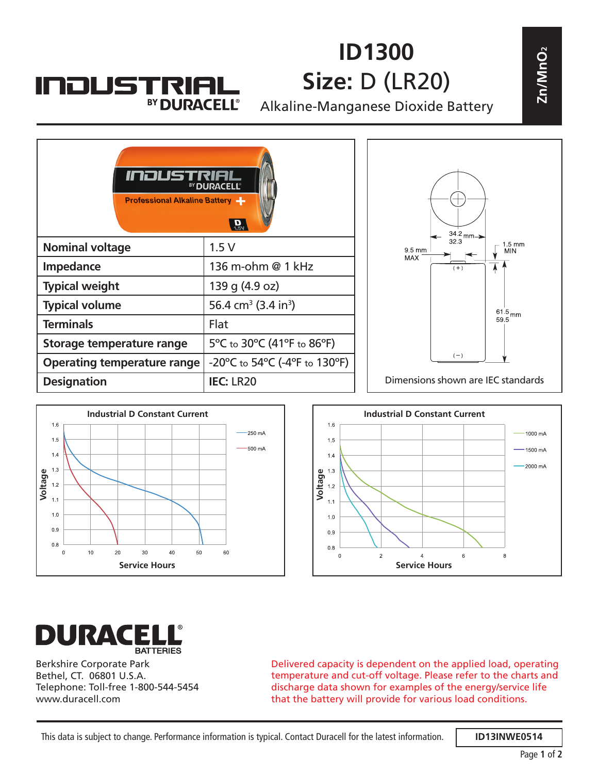## **ID1300 Size:** D (LR20)

Alkaline-Manganese Dioxide Battery





**INDUSTRIAL** 

BY DURACELL®





Berkshire Corporate Park Bethel, CT. 06801 U.S.A. Telephone: Toll-free 1-800-544-5454 www.duracell.com

Delivered capacity is dependent on the applied load, operating temperature and cut-off voltage. Please refer to the charts and discharge data shown for examples of the energy/service life that the battery will provide for various load conditions.